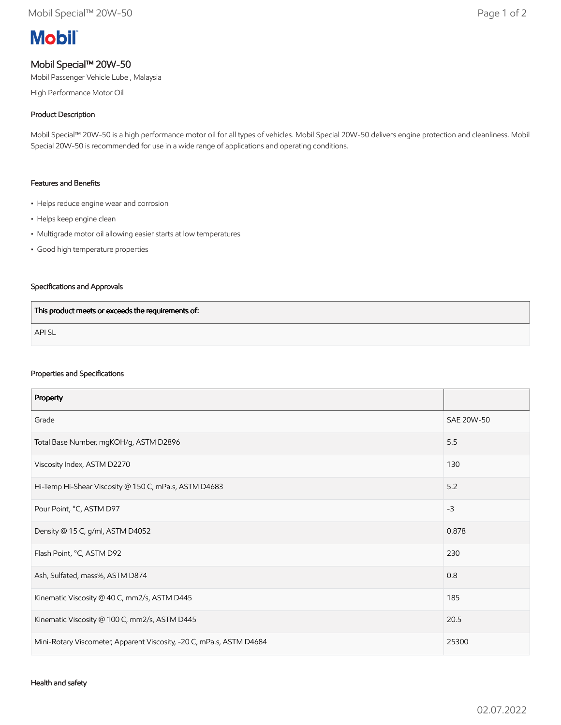# **Mobil**

## Mobil Special™ 20W-50

Mobil Passenger Vehicle Lube , Malaysia

High Performance Motor Oil

### Product Description

Mobil Special™ 20W-50 is a high performance motor oil for all types of vehicles. Mobil Special 20W-50 delivers engine protection and cleanliness. Mobil Special 20W-50 is recommended for use in a wide range of applications and operating conditions.

#### Features and Benefits

- Helps reduce engine wear and corrosion
- Helps keep engine clean
- Multigrade motor oil allowing easier starts at low temperatures
- Good high temperature properties

### Specifications and Approvals

| This product meets or exceeds the requirements of: |  |
|----------------------------------------------------|--|
| <b>APISL</b>                                       |  |

#### Properties and Specifications

| Property                                                             |            |
|----------------------------------------------------------------------|------------|
| Grade                                                                | SAE 20W-50 |
| Total Base Number, mgKOH/g, ASTM D2896                               | 5.5        |
| Viscosity Index, ASTM D2270                                          | 130        |
| Hi-Temp Hi-Shear Viscosity @ 150 C, mPa.s, ASTM D4683                | 5.2        |
| Pour Point, °C, ASTM D97                                             | $-3$       |
| Density @ 15 C, g/ml, ASTM D4052                                     | 0.878      |
| Flash Point, °C, ASTM D92                                            | 230        |
| Ash, Sulfated, mass%, ASTM D874                                      | 0.8        |
| Kinematic Viscosity @ 40 C, mm2/s, ASTM D445                         | 185        |
| Kinematic Viscosity @ 100 C, mm2/s, ASTM D445                        | 20.5       |
| Mini-Rotary Viscometer, Apparent Viscosity, -20 C, mPa.s, ASTM D4684 | 25300      |